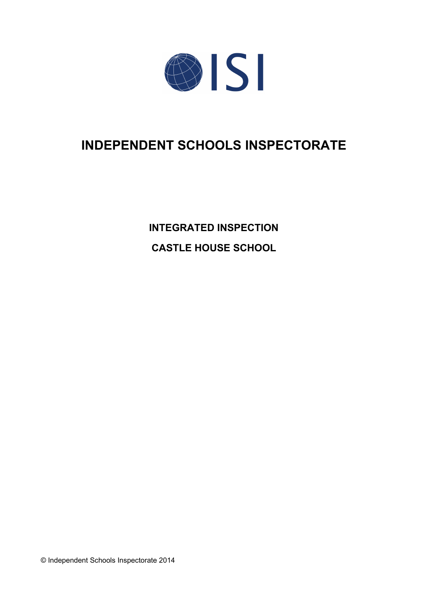

# **INDEPENDENT SCHOOLS INSPECTORATE**

**INTEGRATED INSPECTION CASTLE HOUSE SCHOOL**

© Independent Schools Inspectorate 2014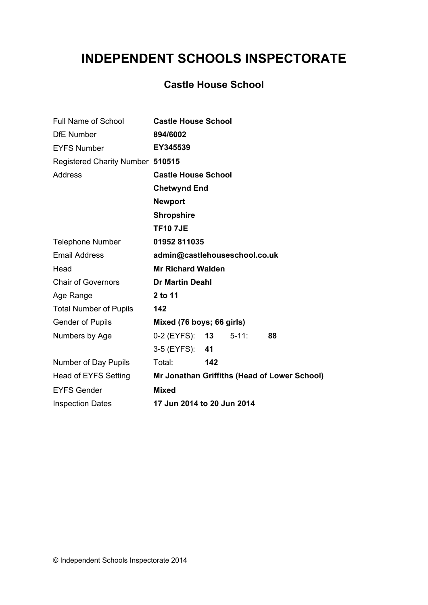# **INDEPENDENT SCHOOLS INSPECTORATE**

# **Castle House School**

| <b>Full Name of School</b>       | <b>Castle House School</b>                   |
|----------------------------------|----------------------------------------------|
| <b>DfE</b> Number                | 894/6002                                     |
| <b>EYFS Number</b>               | EY345539                                     |
| Registered Charity Number 510515 |                                              |
| <b>Address</b>                   | <b>Castle House School</b>                   |
|                                  | <b>Chetwynd End</b>                          |
|                                  | <b>Newport</b>                               |
|                                  | <b>Shropshire</b>                            |
|                                  | <b>TF107JE</b>                               |
| <b>Telephone Number</b>          | 01952 811035                                 |
| <b>Email Address</b>             | admin@castlehouseschool.co.uk                |
| Head                             | <b>Mr Richard Walden</b>                     |
| <b>Chair of Governors</b>        | <b>Dr Martin Deahl</b>                       |
| Age Range                        | 2 to 11                                      |
| <b>Total Number of Pupils</b>    | 142                                          |
| <b>Gender of Pupils</b>          | Mixed (76 boys; 66 girls)                    |
| Numbers by Age                   | 0-2 (EYFS): <b>13</b><br>$5 - 11$ :<br>88    |
|                                  | 3-5 (EYFS): 41                               |
| Number of Day Pupils             | Total:<br>142                                |
| Head of EYFS Setting             | Mr Jonathan Griffiths (Head of Lower School) |
| <b>EYFS Gender</b>               | <b>Mixed</b>                                 |
| <b>Inspection Dates</b>          | 17 Jun 2014 to 20 Jun 2014                   |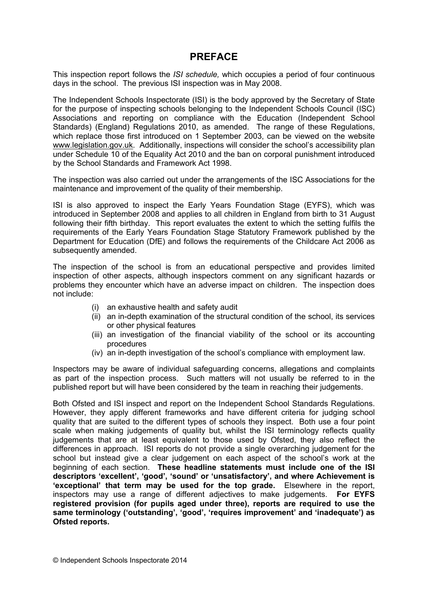## **PREFACE**

This inspection report follows the *ISI schedule,* which occupies a period of four continuous days in the school. The previous ISI inspection was in May 2008.

The Independent Schools Inspectorate (ISI) is the body approved by the Secretary of State for the purpose of inspecting schools belonging to the Independent Schools Council (ISC) Associations and reporting on compliance with the Education (Independent School Standards) (England) Regulations 2010, as amended. The range of these Regulations, which replace those first introduced on 1 September 2003, can be viewed on the website [www.legislation.gov.uk.](http://www.legislation.gov.uk) Additionally, inspections will consider the school's accessibility plan under Schedule 10 of the Equality Act 2010 and the ban on corporal punishment introduced by the School Standards and Framework Act 1998.

The inspection was also carried out under the arrangements of the ISC Associations for the maintenance and improvement of the quality of their membership.

ISI is also approved to inspect the Early Years Foundation Stage (EYFS), which was introduced in September 2008 and applies to all children in England from birth to 31 August following their fifth birthday. This report evaluates the extent to which the setting fulfils the requirements of the Early Years Foundation Stage Statutory Framework published by the Department for Education (DfE) and follows the requirements of the Childcare Act 2006 as subsequently amended.

The inspection of the school is from an educational perspective and provides limited inspection of other aspects, although inspectors comment on any significant hazards or problems they encounter which have an adverse impact on children. The inspection does not include:

- (i) an exhaustive health and safety audit
- (ii) an in-depth examination of the structural condition of the school, its services or other physical features
- (iii) an investigation of the financial viability of the school or its accounting procedures
- (iv) an in-depth investigation of the school's compliance with employment law.

Inspectors may be aware of individual safeguarding concerns, allegations and complaints as part of the inspection process. Such matters will not usually be referred to in the published report but will have been considered by the team in reaching their judgements.

Both Ofsted and ISI inspect and report on the Independent School Standards Regulations. However, they apply different frameworks and have different criteria for judging school quality that are suited to the different types of schools they inspect. Both use a four point scale when making judgements of quality but, whilst the ISI terminology reflects quality judgements that are at least equivalent to those used by Ofsted, they also reflect the differences in approach. ISI reports do not provide a single overarching judgement for the school but instead give a clear judgement on each aspect of the school's work at the beginning of each section. **These headline statements must include one of the ISI descriptors 'excellent', 'good', 'sound' or 'unsatisfactory', and where Achievement is 'exceptional' that term may be used for the top grade.** Elsewhere in the report, inspectors may use a range of different adjectives to make judgements. **For EYFS registered provision (for pupils aged under three), reports are required to use the same terminology ('outstanding', 'good', 'requires improvement' and 'inadequate') as Ofsted reports.**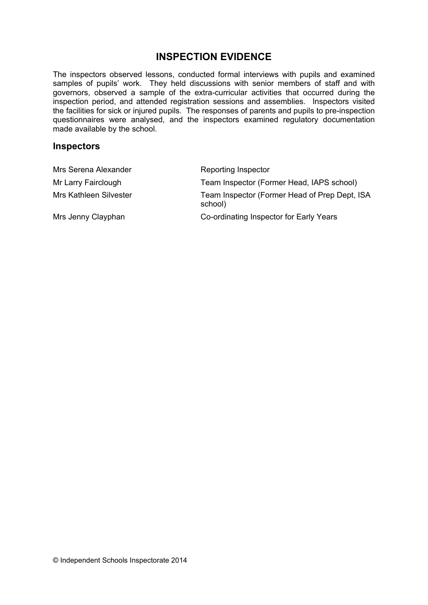# **INSPECTION EVIDENCE**

The inspectors observed lessons, conducted formal interviews with pupils and examined samples of pupils' work. They held discussions with senior members of staff and with governors, observed a sample of the extra-curricular activities that occurred during the inspection period, and attended registration sessions and assemblies. Inspectors visited the facilities for sick or injured pupils. The responses of parents and pupils to pre-inspection questionnaires were analysed, and the inspectors examined regulatory documentation made available by the school.

#### **Inspectors**

| Mrs Serena Alexander          | <b>Reporting Inspector</b>                               |
|-------------------------------|----------------------------------------------------------|
| Mr Larry Fairclough           | Team Inspector (Former Head, IAPS school)                |
| <b>Mrs Kathleen Silvester</b> | Team Inspector (Former Head of Prep Dept, ISA<br>school) |
| Mrs Jenny Clayphan            | Co-ordinating Inspector for Early Years                  |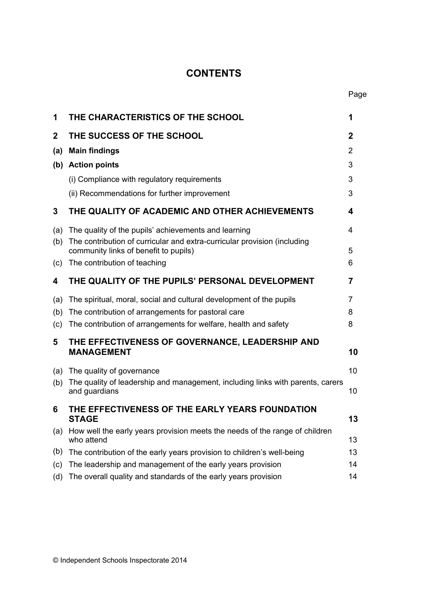# **CONTENTS**

Page

| 1           | THE CHARACTERISTICS OF THE SCHOOL                                                                                 | 1        |
|-------------|-------------------------------------------------------------------------------------------------------------------|----------|
| $\mathbf 2$ | THE SUCCESS OF THE SCHOOL                                                                                         | 2        |
| (a)         | <b>Main findings</b>                                                                                              | 2        |
|             | (b) Action points                                                                                                 | 3        |
|             | (i) Compliance with regulatory requirements                                                                       | 3        |
|             | (ii) Recommendations for further improvement                                                                      | 3        |
| 3           | THE QUALITY OF ACADEMIC AND OTHER ACHIEVEMENTS                                                                    | 4        |
| (a)         | The quality of the pupils' achievements and learning                                                              | 4        |
| (b)         | The contribution of curricular and extra-curricular provision (including<br>community links of benefit to pupils) | 5        |
| (c)         | The contribution of teaching                                                                                      | 6        |
| 4           | THE QUALITY OF THE PUPILS' PERSONAL DEVELOPMENT                                                                   | 7        |
| (a)         | The spiritual, moral, social and cultural development of the pupils                                               | 7        |
| (b)         | The contribution of arrangements for pastoral care                                                                | 8        |
| (c)         | The contribution of arrangements for welfare, health and safety                                                   | 8        |
| 5           | THE EFFECTIVENESS OF GOVERNANCE, LEADERSHIP AND                                                                   |          |
|             | <b>MANAGEMENT</b>                                                                                                 | 10       |
| (a)         | The quality of governance                                                                                         | 10       |
| (b)         | The quality of leadership and management, including links with parents, carers<br>and guardians                   | 10       |
| 6           | THE EFFECTIVENESS OF THE EARLY YEARS FOUNDATION<br><b>STAGE</b>                                                   | 13       |
| (a)         | How well the early years provision meets the needs of the range of children                                       |          |
|             | who attend                                                                                                        | 13       |
| (b)         | The contribution of the early years provision to children's well-being                                            | 13       |
| (c)         | The leadership and management of the early years provision                                                        | 14<br>14 |
| (d)         | The overall quality and standards of the early years provision                                                    |          |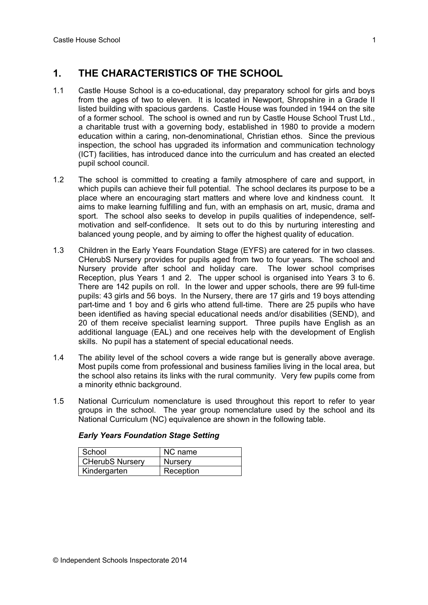## **1. THE CHARACTERISTICS OF THE SCHOOL**

- 1.1 Castle House School is a co-educational, day preparatory school for girls and boys from the ages of two to eleven. It is located in Newport, Shropshire in a Grade II listed building with spacious gardens. Castle House was founded in 1944 on the site of a former school. The school is owned and run by Castle House School Trust Ltd., a charitable trust with a governing body, established in 1980 to provide a modern education within a caring, non-denominational, Christian ethos. Since the previous inspection, the school has upgraded its information and communication technology (ICT) facilities, has introduced dance into the curriculum and has created an elected pupil school council.
- 1.2 The school is committed to creating a family atmosphere of care and support, in which pupils can achieve their full potential. The school declares its purpose to be a place where an encouraging start matters and where love and kindness count. It aims to make learning fulfilling and fun, with an emphasis on art, music, drama and sport. The school also seeks to develop in pupils qualities of independence, selfmotivation and self-confidence. It sets out to do this by nurturing interesting and balanced young people, and by aiming to offer the highest quality of education.
- 1.3 Children in the Early Years Foundation Stage (EYFS) are catered for in two classes. CHerubS Nursery provides for pupils aged from two to four years. The school and Nursery provide after school and holiday care. The lower school comprises Reception, plus Years 1 and 2. The upper school is organised into Years 3 to 6. There are 142 pupils on roll. In the lower and upper schools, there are 99 full-time pupils: 43 girls and 56 boys. In the Nursery, there are 17 girls and 19 boys attending part-time and 1 boy and 6 girls who attend full-time. There are 25 pupils who have been identified as having special educational needs and/or disabilities (SEND), and 20 of them receive specialist learning support. Three pupils have English as an additional language (EAL) and one receives help with the development of English skills. No pupil has a statement of special educational needs.
- 1.4 The ability level of the school covers a wide range but is generally above average. Most pupils come from professional and business families living in the local area, but the school also retains its links with the rural community. Very few pupils come from a minority ethnic background.
- 1.5 National Curriculum nomenclature is used throughout this report to refer to year groups in the school. The year group nomenclature used by the school and its National Curriculum (NC) equivalence are shown in the following table.

| ∣ School               | NC name        |
|------------------------|----------------|
| <b>CHerubS Nursery</b> | <b>Nursery</b> |
| Kindergarten           | Reception      |

#### *Early Years Foundation Stage Setting*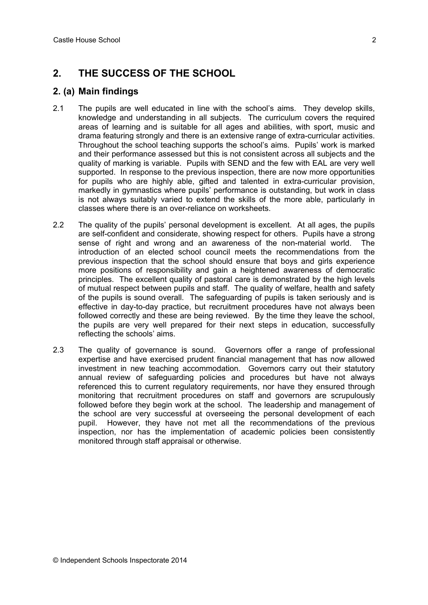# **2. THE SUCCESS OF THE SCHOOL**

### **2. (a) Main findings**

- 2.1 The pupils are well educated in line with the school's aims. They develop skills, knowledge and understanding in all subjects. The curriculum covers the required areas of learning and is suitable for all ages and abilities, with sport, music and drama featuring strongly and there is an extensive range of extra-curricular activities. Throughout the school teaching supports the school's aims. Pupils' work is marked and their performance assessed but this is not consistent across all subjects and the quality of marking is variable. Pupils with SEND and the few with EAL are very well supported. In response to the previous inspection, there are now more opportunities for pupils who are highly able, gifted and talented in extra-curricular provision, markedly in gymnastics where pupils' performance is outstanding, but work in class is not always suitably varied to extend the skills of the more able, particularly in classes where there is an over-reliance on worksheets.
- 2.2 The quality of the pupils' personal development is excellent. At all ages, the pupils are self-confident and considerate, showing respect for others. Pupils have a strong sense of right and wrong and an awareness of the non-material world. The introduction of an elected school council meets the recommendations from the previous inspection that the school should ensure that boys and girls experience more positions of responsibility and gain a heightened awareness of democratic principles. The excellent quality of pastoral care is demonstrated by the high levels of mutual respect between pupils and staff. The quality of welfare, health and safety of the pupils is sound overall. The safeguarding of pupils is taken seriously and is effective in day-to-day practice, but recruitment procedures have not always been followed correctly and these are being reviewed. By the time they leave the school, the pupils are very well prepared for their next steps in education, successfully reflecting the schools' aims.
- 2.3 The quality of governance is sound. Governors offer a range of professional expertise and have exercised prudent financial management that has now allowed investment in new teaching accommodation. Governors carry out their statutory annual review of safeguarding policies and procedures but have not always referenced this to current regulatory requirements, nor have they ensured through monitoring that recruitment procedures on staff and governors are scrupulously followed before they begin work at the school. The leadership and management of the school are very successful at overseeing the personal development of each pupil. However, they have not met all the recommendations of the previous inspection, nor has the implementation of academic policies been consistently monitored through staff appraisal or otherwise.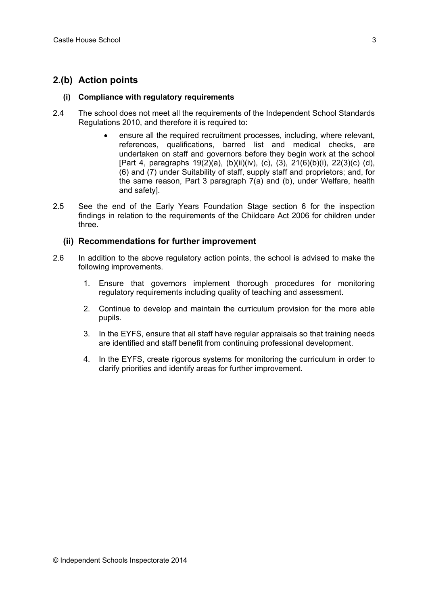## **2.(b) Action points**

#### **(i) Compliance with regulatory requirements**

- 2.4 The school does not meet all the requirements of the Independent School Standards Regulations 2010, and therefore it is required to:
	- ensure all the required recruitment processes, including, where relevant, references, qualifications, barred list and medical checks, are undertaken on staff and governors before they begin work at the school [Part 4, paragraphs 19(2)(a), (b)(ii)(iv), (c), (3), 21(6)(b)(i), 22(3)(c) (d), (6) and (7) under Suitability of staff, supply staff and proprietors; and, for the same reason, Part 3 paragraph 7(a) and (b), under Welfare, health and safety].
- 2.5 See the end of the Early Years Foundation Stage section 6 for the inspection findings in relation to the requirements of the Childcare Act 2006 for children under three.

#### **(ii) Recommendations for further improvement**

- 2.6 In addition to the above regulatory action points, the school is advised to make the following improvements.
	- 1. Ensure that governors implement thorough procedures for monitoring regulatory requirements including quality of teaching and assessment.
	- 2. Continue to develop and maintain the curriculum provision for the more able pupils.
	- 3. In the EYFS, ensure that all staff have regular appraisals so that training needs are identified and staff benefit from continuing professional development.
	- 4. In the EYFS, create rigorous systems for monitoring the curriculum in order to clarify priorities and identify areas for further improvement.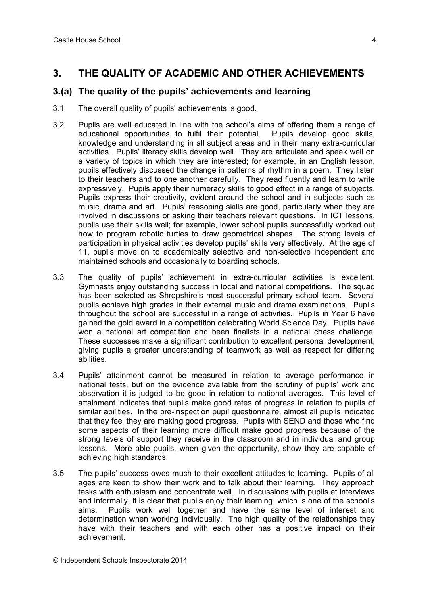## **3. THE QUALITY OF ACADEMIC AND OTHER ACHIEVEMENTS**

### **3.(a) The quality of the pupils' achievements and learning**

- 3.1 The overall quality of pupils' achievements is good.
- 3.2 Pupils are well educated in line with the school's aims of offering them a range of educational opportunities to fulfil their potential. Pupils develop good skills, knowledge and understanding in all subject areas and in their many extra-curricular activities. Pupils' literacy skills develop well. They are articulate and speak well on a variety of topics in which they are interested; for example, in an English lesson, pupils effectively discussed the change in patterns of rhythm in a poem. They listen to their teachers and to one another carefully. They read fluently and learn to write expressively. Pupils apply their numeracy skills to good effect in a range of subjects. Pupils express their creativity, evident around the school and in subjects such as music, drama and art. Pupils' reasoning skills are good, particularly when they are involved in discussions or asking their teachers relevant questions. In ICT lessons, pupils use their skills well; for example, lower school pupils successfully worked out how to program robotic turtles to draw geometrical shapes. The strong levels of participation in physical activities develop pupils' skills very effectively. At the age of 11, pupils move on to academically selective and non-selective independent and maintained schools and occasionally to boarding schools.
- 3.3 The quality of pupils' achievement in extra-curricular activities is excellent. Gymnasts enjoy outstanding success in local and national competitions. The squad has been selected as Shropshire's most successful primary school team. Several pupils achieve high grades in their external music and drama examinations. Pupils throughout the school are successful in a range of activities. Pupils in Year 6 have gained the gold award in a competition celebrating World Science Day. Pupils have won a national art competition and been finalists in a national chess challenge. These successes make a significant contribution to excellent personal development, giving pupils a greater understanding of teamwork as well as respect for differing abilities.
- 3.4 Pupils' attainment cannot be measured in relation to average performance in national tests, but on the evidence available from the scrutiny of pupils' work and observation it is judged to be good in relation to national averages. This level of attainment indicates that pupils make good rates of progress in relation to pupils of similar abilities. In the pre-inspection pupil questionnaire, almost all pupils indicated that they feel they are making good progress. Pupils with SEND and those who find some aspects of their learning more difficult make good progress because of the strong levels of support they receive in the classroom and in individual and group lessons. More able pupils, when given the opportunity, show they are capable of achieving high standards.
- 3.5 The pupils' success owes much to their excellent attitudes to learning. Pupils of all ages are keen to show their work and to talk about their learning. They approach tasks with enthusiasm and concentrate well. In discussions with pupils at interviews and informally, it is clear that pupils enjoy their learning, which is one of the school's aims. Pupils work well together and have the same level of interest and determination when working individually. The high quality of the relationships they have with their teachers and with each other has a positive impact on their achievement.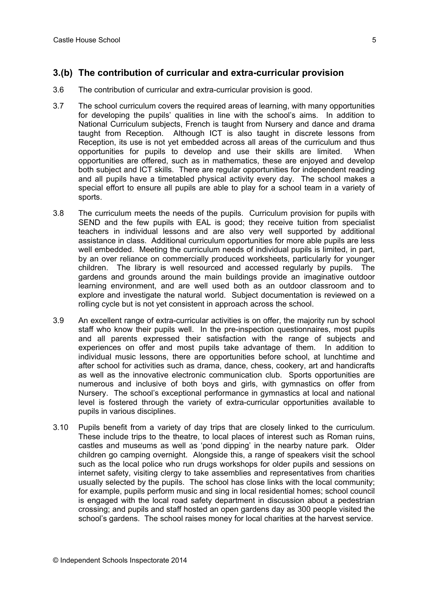### **3.(b) The contribution of curricular and extra-curricular provision**

- 3.6 The contribution of curricular and extra-curricular provision is good.
- 3.7 The school curriculum covers the required areas of learning, with many opportunities for developing the pupils' qualities in line with the school's aims. In addition to National Curriculum subjects, French is taught from Nursery and dance and drama taught from Reception. Although ICT is also taught in discrete lessons from Reception, its use is not yet embedded across all areas of the curriculum and thus opportunities for pupils to develop and use their skills are limited. When opportunities are offered, such as in mathematics, these are enjoyed and develop both subject and ICT skills. There are regular opportunities for independent reading and all pupils have a timetabled physical activity every day. The school makes a special effort to ensure all pupils are able to play for a school team in a variety of sports.
- 3.8 The curriculum meets the needs of the pupils. Curriculum provision for pupils with SEND and the few pupils with EAL is good; they receive tuition from specialist teachers in individual lessons and are also very well supported by additional assistance in class. Additional curriculum opportunities for more able pupils are less well embedded. Meeting the curriculum needs of individual pupils is limited, in part, by an over reliance on commercially produced worksheets, particularly for younger children. The library is well resourced and accessed regularly by pupils. The gardens and grounds around the main buildings provide an imaginative outdoor learning environment, and are well used both as an outdoor classroom and to explore and investigate the natural world. Subject documentation is reviewed on a rolling cycle but is not yet consistent in approach across the school.
- 3.9 An excellent range of extra-curricular activities is on offer, the majority run by school staff who know their pupils well. In the pre-inspection questionnaires, most pupils and all parents expressed their satisfaction with the range of subjects and experiences on offer and most pupils take advantage of them. In addition to individual music lessons, there are opportunities before school, at lunchtime and after school for activities such as drama, dance, chess, cookery, art and handicrafts as well as the innovative electronic communication club. Sports opportunities are numerous and inclusive of both boys and girls, with gymnastics on offer from Nursery. The school's exceptional performance in gymnastics at local and national level is fostered through the variety of extra-curricular opportunities available to pupils in various disciplines.
- 3.10 Pupils benefit from a variety of day trips that are closely linked to the curriculum. These include trips to the theatre, to local places of interest such as Roman ruins, castles and museums as well as 'pond dipping' in the nearby nature park. Older children go camping overnight. Alongside this, a range of speakers visit the school such as the local police who run drugs workshops for older pupils and sessions on internet safety, visiting clergy to take assemblies and representatives from charities usually selected by the pupils. The school has close links with the local community; for example, pupils perform music and sing in local residential homes; school council is engaged with the local road safety department in discussion about a pedestrian crossing; and pupils and staff hosted an open gardens day as 300 people visited the school's gardens. The school raises money for local charities at the harvest service.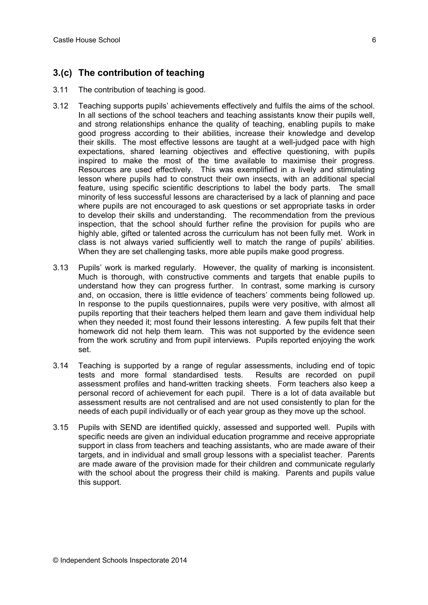# **3.(c) The contribution of teaching**

- 3.11 The contribution of teaching is good.
- 3.12 Teaching supports pupils' achievements effectively and fulfils the aims of the school. In all sections of the school teachers and teaching assistants know their pupils well, and strong relationships enhance the quality of teaching, enabling pupils to make good progress according to their abilities, increase their knowledge and develop their skills. The most effective lessons are taught at a well-judged pace with high expectations, shared learning objectives and effective questioning, with pupils inspired to make the most of the time available to maximise their progress. Resources are used effectively. This was exemplified in a lively and stimulating lesson where pupils had to construct their own insects, with an additional special feature, using specific scientific descriptions to label the body parts. The small minority of less successful lessons are characterised by a lack of planning and pace where pupils are not encouraged to ask questions or set appropriate tasks in order to develop their skills and understanding. The recommendation from the previous inspection, that the school should further refine the provision for pupils who are highly able, gifted or talented across the curriculum has not been fully met. Work in class is not always varied sufficiently well to match the range of pupils' abilities. When they are set challenging tasks, more able pupils make good progress.
- 3.13 Pupils' work is marked regularly. However, the quality of marking is inconsistent. Much is thorough, with constructive comments and targets that enable pupils to understand how they can progress further. In contrast, some marking is cursory and, on occasion, there is little evidence of teachers' comments being followed up. In response to the pupils questionnaires, pupils were very positive, with almost all pupils reporting that their teachers helped them learn and gave them individual help when they needed it; most found their lessons interesting. A few pupils felt that their homework did not help them learn. This was not supported by the evidence seen from the work scrutiny and from pupil interviews. Pupils reported enjoying the work set.
- 3.14 Teaching is supported by a range of regular assessments, including end of topic tests and more formal standardised tests. Results are recorded on pupil assessment profiles and hand-written tracking sheets. Form teachers also keep a personal record of achievement for each pupil. There is a lot of data available but assessment results are not centralised and are not used consistently to plan for the needs of each pupil individually or of each year group as they move up the school.
- 3.15 Pupils with SEND are identified quickly, assessed and supported well. Pupils with specific needs are given an individual education programme and receive appropriate support in class from teachers and teaching assistants, who are made aware of their targets, and in individual and small group lessons with a specialist teacher. Parents are made aware of the provision made for their children and communicate regularly with the school about the progress their child is making. Parents and pupils value this support.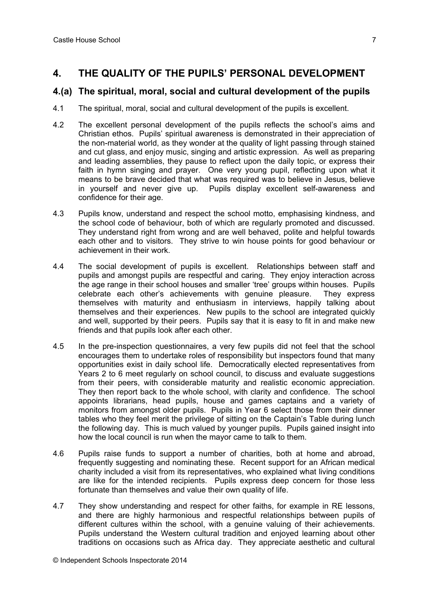### **4. THE QUALITY OF THE PUPILS' PERSONAL DEVELOPMENT**

### **4.(a) The spiritual, moral, social and cultural development of the pupils**

- 4.1 The spiritual, moral, social and cultural development of the pupils is excellent.
- 4.2 The excellent personal development of the pupils reflects the school's aims and Christian ethos. Pupils' spiritual awareness is demonstrated in their appreciation of the non-material world, as they wonder at the quality of light passing through stained and cut glass, and enjoy music, singing and artistic expression. As well as preparing and leading assemblies, they pause to reflect upon the daily topic, or express their faith in hymn singing and prayer. One very young pupil, reflecting upon what it means to be brave decided that what was required was to believe in Jesus, believe in yourself and never give up. Pupils display excellent self-awareness and confidence for their age.
- 4.3 Pupils know, understand and respect the school motto, emphasising kindness, and the school code of behaviour, both of which are regularly promoted and discussed. They understand right from wrong and are well behaved, polite and helpful towards each other and to visitors. They strive to win house points for good behaviour or achievement in their work.
- 4.4 The social development of pupils is excellent. Relationships between staff and pupils and amongst pupils are respectful and caring. They enjoy interaction across the age range in their school houses and smaller 'tree' groups within houses. Pupils celebrate each other's achievements with genuine pleasure. They express themselves with maturity and enthusiasm in interviews, happily talking about themselves and their experiences. New pupils to the school are integrated quickly and well, supported by their peers. Pupils say that it is easy to fit in and make new friends and that pupils look after each other.
- 4.5 In the pre-inspection questionnaires, a very few pupils did not feel that the school encourages them to undertake roles of responsibility but inspectors found that many opportunities exist in daily school life. Democratically elected representatives from Years 2 to 6 meet regularly on school council, to discuss and evaluate suggestions from their peers, with considerable maturity and realistic economic appreciation. They then report back to the whole school, with clarity and confidence. The school appoints librarians, head pupils, house and games captains and a variety of monitors from amongst older pupils. Pupils in Year 6 select those from their dinner tables who they feel merit the privilege of sitting on the Captain's Table during lunch the following day. This is much valued by younger pupils. Pupils gained insight into how the local council is run when the mayor came to talk to them.
- 4.6 Pupils raise funds to support a number of charities, both at home and abroad, frequently suggesting and nominating these. Recent support for an African medical charity included a visit from its representatives, who explained what living conditions are like for the intended recipients. Pupils express deep concern for those less fortunate than themselves and value their own quality of life.
- 4.7 They show understanding and respect for other faiths, for example in RE lessons, and there are highly harmonious and respectful relationships between pupils of different cultures within the school, with a genuine valuing of their achievements. Pupils understand the Western cultural tradition and enjoyed learning about other traditions on occasions such as Africa day. They appreciate aesthetic and cultural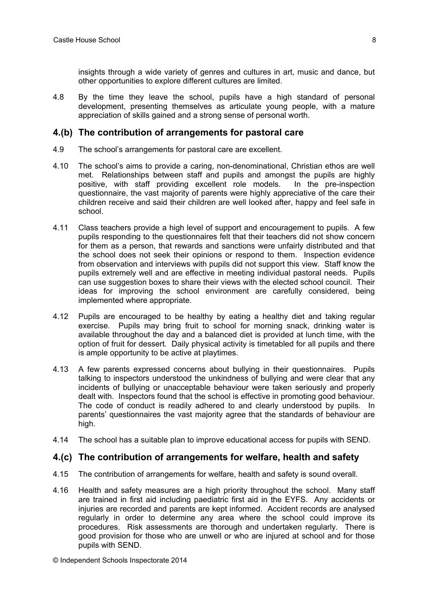insights through a wide variety of genres and cultures in art, music and dance, but other opportunities to explore different cultures are limited.

4.8 By the time they leave the school, pupils have a high standard of personal development, presenting themselves as articulate young people, with a mature appreciation of skills gained and a strong sense of personal worth.

#### **4.(b) The contribution of arrangements for pastoral care**

- 4.9 The school's arrangements for pastoral care are excellent.
- 4.10 The school's aims to provide a caring, non-denominational, Christian ethos are well met. Relationships between staff and pupils and amongst the pupils are highly positive, with staff providing excellent role models. In the pre-inspection questionnaire, the vast majority of parents were highly appreciative of the care their children receive and said their children are well looked after, happy and feel safe in school.
- 4.11 Class teachers provide a high level of support and encouragement to pupils. A few pupils responding to the questionnaires felt that their teachers did not show concern for them as a person, that rewards and sanctions were unfairly distributed and that the school does not seek their opinions or respond to them. Inspection evidence from observation and interviews with pupils did not support this view. Staff know the pupils extremely well and are effective in meeting individual pastoral needs. Pupils can use suggestion boxes to share their views with the elected school council. Their ideas for improving the school environment are carefully considered, being implemented where appropriate.
- 4.12 Pupils are encouraged to be healthy by eating a healthy diet and taking regular exercise. Pupils may bring fruit to school for morning snack, drinking water is available throughout the day and a balanced diet is provided at lunch time, with the option of fruit for dessert. Daily physical activity is timetabled for all pupils and there is ample opportunity to be active at playtimes.
- 4.13 A few parents expressed concerns about bullying in their questionnaires. Pupils talking to inspectors understood the unkindness of bullying and were clear that any incidents of bullying or unacceptable behaviour were taken seriously and properly dealt with. Inspectors found that the school is effective in promoting good behaviour. The code of conduct is readily adhered to and clearly understood by pupils. In parents' questionnaires the vast majority agree that the standards of behaviour are high.
- 4.14 The school has a suitable plan to improve educational access for pupils with SEND.

#### **4.(c) The contribution of arrangements for welfare, health and safety**

- 4.15 The contribution of arrangements for welfare, health and safety is sound overall.
- 4.16 Health and safety measures are a high priority throughout the school. Many staff are trained in first aid including paediatric first aid in the EYFS. Any accidents or injuries are recorded and parents are kept informed. Accident records are analysed regularly in order to determine any area where the school could improve its procedures. Risk assessments are thorough and undertaken regularly. There is good provision for those who are unwell or who are injured at school and for those pupils with SEND.

© Independent Schools Inspectorate 2014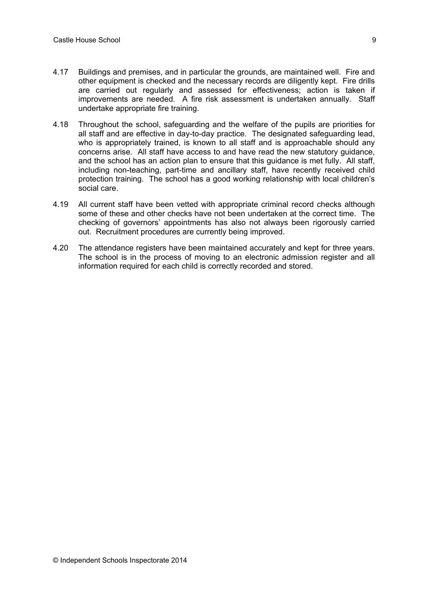- 4.17 Buildings and premises, and in particular the grounds, are maintained well. Fire and other equipment is checked and the necessary records are diligently kept. Fire drills are carried out regularly and assessed for effectiveness; action is taken if improvements are needed. A fire risk assessment is undertaken annually. Staff undertake appropriate fire training.
- 4.18 Throughout the school, safeguarding and the welfare of the pupils are priorities for all staff and are effective in day-to-day practice. The designated safeguarding lead, who is appropriately trained, is known to all staff and is approachable should any concerns arise. All staff have access to and have read the new statutory guidance, and the school has an action plan to ensure that this guidance is met fully. All staff, including non-teaching, part-time and ancillary staff, have recently received child protection training. The school has a good working relationship with local children's social care.
- 4.19 All current staff have been vetted with appropriate criminal record checks although some of these and other checks have not been undertaken at the correct time. The checking of governors' appointments has also not always been rigorously carried out. Recruitment procedures are currently being improved.
- 4.20 The attendance registers have been maintained accurately and kept for three years. The school is in the process of moving to an electronic admission register and all information required for each child is correctly recorded and stored.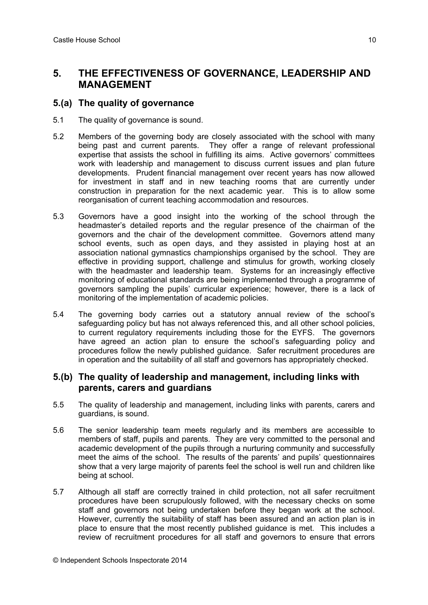# **5. THE EFFECTIVENESS OF GOVERNANCE, LEADERSHIP AND MANAGEMENT**

### **5.(a) The quality of governance**

- 5.1 The quality of governance is sound.
- 5.2 Members of the governing body are closely associated with the school with many being past and current parents. They offer a range of relevant professional expertise that assists the school in fulfilling its aims. Active governors' committees work with leadership and management to discuss current issues and plan future developments. Prudent financial management over recent years has now allowed for investment in staff and in new teaching rooms that are currently under construction in preparation for the next academic year. This is to allow some reorganisation of current teaching accommodation and resources.
- 5.3 Governors have a good insight into the working of the school through the headmaster's detailed reports and the regular presence of the chairman of the governors and the chair of the development committee. Governors attend many school events, such as open days, and they assisted in playing host at an association national gymnastics championships organised by the school. They are effective in providing support, challenge and stimulus for growth, working closely with the headmaster and leadership team. Systems for an increasingly effective monitoring of educational standards are being implemented through a programme of governors sampling the pupils' curricular experience; however, there is a lack of monitoring of the implementation of academic policies.
- 5.4 The governing body carries out a statutory annual review of the school's safeguarding policy but has not always referenced this, and all other school policies, to current regulatory requirements including those for the EYFS. The governors have agreed an action plan to ensure the school's safeguarding policy and procedures follow the newly published guidance. Safer recruitment procedures are in operation and the suitability of all staff and governors has appropriately checked.

### **5.(b) The quality of leadership and management, including links with parents, carers and guardians**

- 5.5 The quality of leadership and management, including links with parents, carers and guardians, is sound.
- 5.6 The senior leadership team meets regularly and its members are accessible to members of staff, pupils and parents. They are very committed to the personal and academic development of the pupils through a nurturing community and successfully meet the aims of the school. The results of the parents' and pupils' questionnaires show that a very large majority of parents feel the school is well run and children like being at school.
- 5.7 Although all staff are correctly trained in child protection, not all safer recruitment procedures have been scrupulously followed, with the necessary checks on some staff and governors not being undertaken before they began work at the school. However, currently the suitability of staff has been assured and an action plan is in place to ensure that the most recently published guidance is met. This includes a review of recruitment procedures for all staff and governors to ensure that errors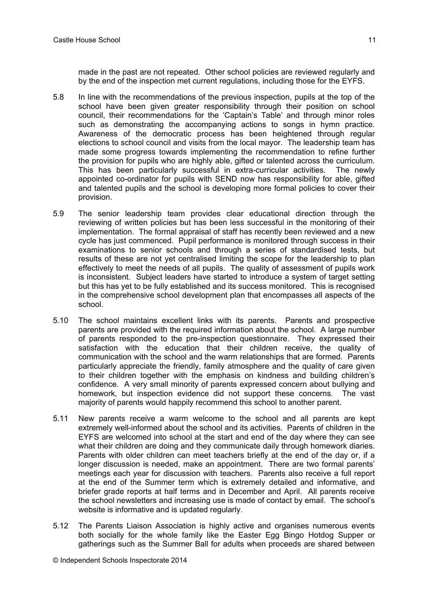made in the past are not repeated. Other school policies are reviewed regularly and by the end of the inspection met current regulations, including those for the EYFS.

- 5.8 In line with the recommendations of the previous inspection, pupils at the top of the school have been given greater responsibility through their position on school council, their recommendations for the 'Captain's Table' and through minor roles such as demonstrating the accompanying actions to songs in hymn practice. Awareness of the democratic process has been heightened through regular elections to school council and visits from the local mayor. The leadership team has made some progress towards implementing the recommendation to refine further the provision for pupils who are highly able, gifted or talented across the curriculum. This has been particularly successful in extra-curricular activities. The newly appointed co-ordinator for pupils with SEND now has responsibility for able, gifted and talented pupils and the school is developing more formal policies to cover their provision.
- 5.9 The senior leadership team provides clear educational direction through the reviewing of written policies but has been less successful in the monitoring of their implementation. The formal appraisal of staff has recently been reviewed and a new cycle has just commenced. Pupil performance is monitored through success in their examinations to senior schools and through a series of standardised tests, but results of these are not yet centralised limiting the scope for the leadership to plan effectively to meet the needs of all pupils. The quality of assessment of pupils work is inconsistent. Subject leaders have started to introduce a system of target setting but this has yet to be fully established and its success monitored. This is recognised in the comprehensive school development plan that encompasses all aspects of the school.
- 5.10 The school maintains excellent links with its parents. Parents and prospective parents are provided with the required information about the school. A large number of parents responded to the pre-inspection questionnaire. They expressed their satisfaction with the education that their children receive, the quality of communication with the school and the warm relationships that are formed. Parents particularly appreciate the friendly, family atmosphere and the quality of care given to their children together with the emphasis on kindness and building children's confidence. A very small minority of parents expressed concern about bullying and homework, but inspection evidence did not support these concerns. The vast majority of parents would happily recommend this school to another parent.
- 5.11 New parents receive a warm welcome to the school and all parents are kept extremely well-informed about the school and its activities. Parents of children in the EYFS are welcomed into school at the start and end of the day where they can see what their children are doing and they communicate daily through homework diaries. Parents with older children can meet teachers briefly at the end of the day or, if a longer discussion is needed, make an appointment. There are two formal parents' meetings each year for discussion with teachers. Parents also receive a full report at the end of the Summer term which is extremely detailed and informative, and briefer grade reports at half terms and in December and April. All parents receive the school newsletters and increasing use is made of contact by email. The school's website is informative and is updated regularly.
- 5.12 The Parents Liaison Association is highly active and organises numerous events both socially for the whole family like the Easter Egg Bingo Hotdog Supper or gatherings such as the Summer Ball for adults when proceeds are shared between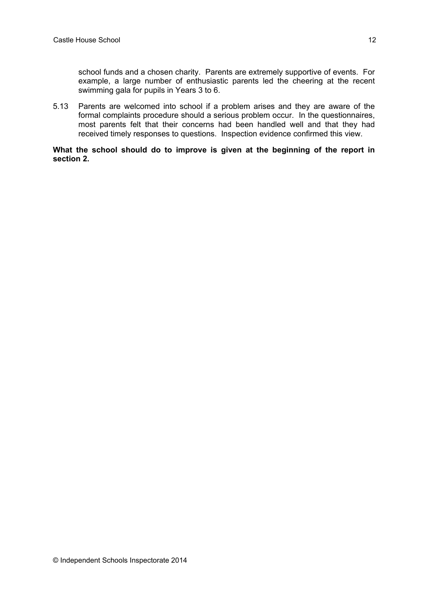school funds and a chosen charity. Parents are extremely supportive of events. For example, a large number of enthusiastic parents led the cheering at the recent swimming gala for pupils in Years 3 to 6.

5.13 Parents are welcomed into school if a problem arises and they are aware of the formal complaints procedure should a serious problem occur. In the questionnaires, most parents felt that their concerns had been handled well and that they had received timely responses to questions. Inspection evidence confirmed this view.

#### **What the school should do to improve is given at the beginning of the report in section 2.**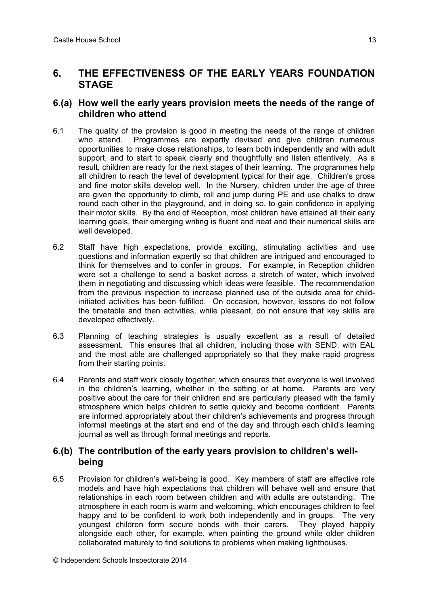# **6. THE EFFECTIVENESS OF THE EARLY YEARS FOUNDATION STAGE**

### **6.(a) How well the early years provision meets the needs of the range of children who attend**

- 6.1 The quality of the provision is good in meeting the needs of the range of children who attend. Programmes are expertly devised and give children numerous opportunities to make close relationships, to learn both independently and with adult support, and to start to speak clearly and thoughtfully and listen attentively. As a result, children are ready for the next stages of their learning. The programmes help all children to reach the level of development typical for their age. Children's gross and fine motor skills develop well. In the Nursery, children under the age of three are given the opportunity to climb, roll and jump during PE and use chalks to draw round each other in the playground, and in doing so, to gain confidence in applying their motor skills. By the end of Reception, most children have attained all their early learning goals, their emerging writing is fluent and neat and their numerical skills are well developed.
- 6.2 Staff have high expectations, provide exciting, stimulating activities and use questions and information expertly so that children are intrigued and encouraged to think for themselves and to confer in groups. For example, in Reception children were set a challenge to send a basket across a stretch of water, which involved them in negotiating and discussing which ideas were feasible. The recommendation from the previous inspection to increase planned use of the outside area for childinitiated activities has been fulfilled. On occasion, however, lessons do not follow the timetable and then activities, while pleasant, do not ensure that key skills are developed effectively.
- 6.3 Planning of teaching strategies is usually excellent as a result of detailed assessment. This ensures that all children, including those with SEND, with EAL and the most able are challenged appropriately so that they make rapid progress from their starting points.
- 6.4 Parents and staff work closely together, which ensures that everyone is well involved in the children's learning, whether in the setting or at home. Parents are very positive about the care for their children and are particularly pleased with the family atmosphere which helps children to settle quickly and become confident. Parents are informed appropriately about their children's achievements and progress through informal meetings at the start and end of the day and through each child's learning journal as well as through formal meetings and reports.

### **6.(b) The contribution of the early years provision to children's wellbeing**

6.5 Provision for children's well-being is good. Key members of staff are effective role models and have high expectations that children will behave well and ensure that relationships in each room between children and with adults are outstanding. The atmosphere in each room is warm and welcoming, which encourages children to feel happy and to be confident to work both independently and in groups. The very youngest children form secure bonds with their carers. They played happily alongside each other, for example, when painting the ground while older children collaborated maturely to find solutions to problems when making lighthouses.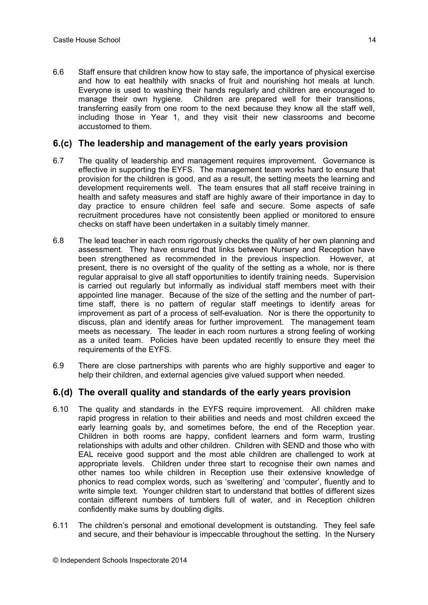6.6 Staff ensure that children know how to stay safe, the importance of physical exercise and how to eat healthily with snacks of fruit and nourishing hot meals at lunch. Everyone is used to washing their hands regularly and children are encouraged to manage their own hygiene. Children are prepared well for their transitions, transferring easily from one room to the next because they know all the staff well, including those in Year 1, and they visit their new classrooms and become accustomed to them.

#### **6.(c) The leadership and management of the early years provision**

- 6.7 The quality of leadership and management requires improvement. Governance is effective in supporting the EYFS. The management team works hard to ensure that provision for the children is good, and as a result, the setting meets the learning and development requirements well. The team ensures that all staff receive training in health and safety measures and staff are highly aware of their importance in day to day practice to ensure children feel safe and secure. Some aspects of safe recruitment procedures have not consistently been applied or monitored to ensure checks on staff have been undertaken in a suitably timely manner.
- 6.8 The lead teacher in each room rigorously checks the quality of her own planning and assessment. They have ensured that links between Nursery and Reception have been strengthened as recommended in the previous inspection. However, at present, there is no oversight of the quality of the setting as a whole, nor is there regular appraisal to give all staff opportunities to identify training needs. Supervision is carried out regularly but informally as individual staff members meet with their appointed line manager. Because of the size of the setting and the number of parttime staff, there is no pattern of regular staff meetings to identify areas for improvement as part of a process of self-evaluation. Nor is there the opportunity to discuss, plan and identify areas for further improvement. The management team meets as necessary. The leader in each room nurtures a strong feeling of working as a united team. Policies have been updated recently to ensure they meet the requirements of the EYFS.
- 6.9 There are close partnerships with parents who are highly supportive and eager to help their children, and external agencies give valued support when needed.

#### **6.(d) The overall quality and standards of the early years provision**

- 6.10 The quality and standards in the EYFS require improvement. All children make rapid progress in relation to their abilities and needs and most children exceed the early learning goals by, and sometimes before, the end of the Reception year. Children in both rooms are happy, confident learners and form warm, trusting relationships with adults and other children. Children with SEND and those who with EAL receive good support and the most able children are challenged to work at appropriate levels. Children under three start to recognise their own names and other names too while children in Reception use their extensive knowledge of phonics to read complex words, such as 'sweltering' and 'computer', fluently and to write simple text. Younger children start to understand that bottles of different sizes contain different numbers of tumblers full of water, and in Reception children confidently make sums by doubling digits.
- 6.11 The children's personal and emotional development is outstanding. They feel safe and secure, and their behaviour is impeccable throughout the setting. In the Nursery